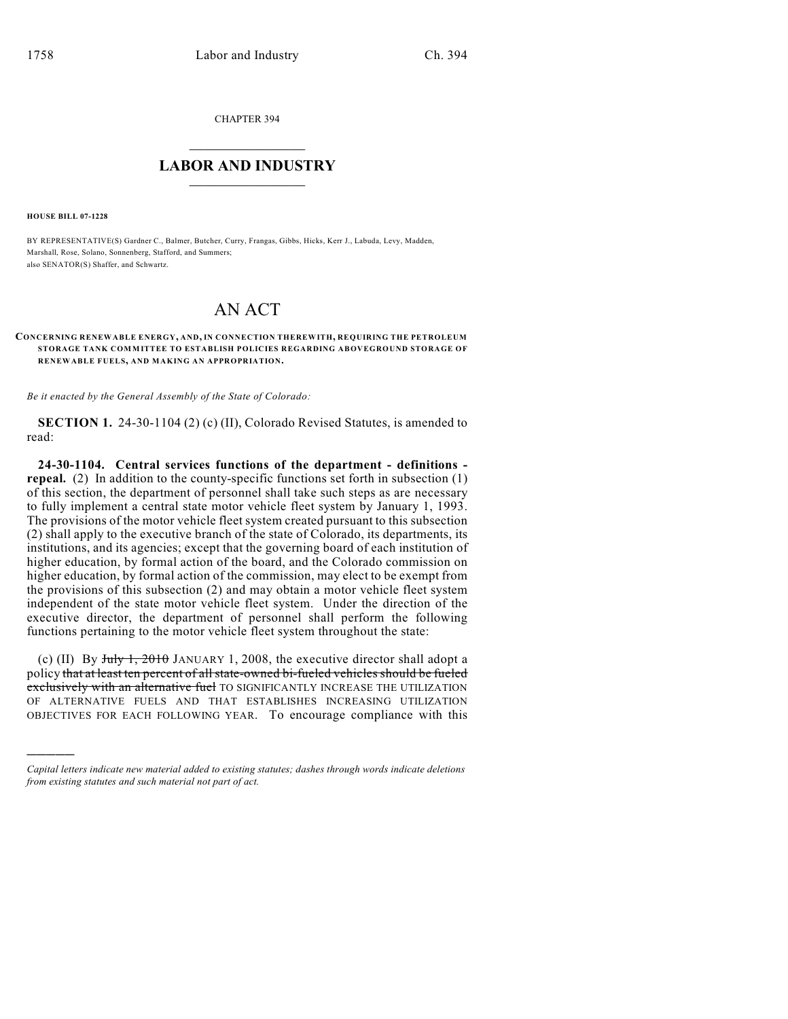CHAPTER 394

## $\mathcal{L}_\text{max}$  . The set of the set of the set of the set of the set of the set of the set of the set of the set of the set of the set of the set of the set of the set of the set of the set of the set of the set of the set **LABOR AND INDUSTRY**  $\frac{1}{\sqrt{2}}$  ,  $\frac{1}{\sqrt{2}}$  ,  $\frac{1}{\sqrt{2}}$  ,  $\frac{1}{\sqrt{2}}$  ,  $\frac{1}{\sqrt{2}}$  ,  $\frac{1}{\sqrt{2}}$

**HOUSE BILL 07-1228**

)))))

BY REPRESENTATIVE(S) Gardner C., Balmer, Butcher, Curry, Frangas, Gibbs, Hicks, Kerr J., Labuda, Levy, Madden, Marshall, Rose, Solano, Sonnenberg, Stafford, and Summers; also SENATOR(S) Shaffer, and Schwartz.

## AN ACT

## **CONCERNING RENEWABLE ENERGY, AND, IN CONNECTION THEREWITH, REQUIRING THE PETROLEUM STORAGE TANK COMMITTEE TO ESTABLISH POLICIES REGARDING ABOVEGROUND STORAGE OF RENEWABLE FUELS, AND MAKING AN APPROPRIATION.**

*Be it enacted by the General Assembly of the State of Colorado:*

**SECTION 1.** 24-30-1104 (2) (c) (II), Colorado Revised Statutes, is amended to read:

**24-30-1104. Central services functions of the department - definitions repeal.** (2) In addition to the county-specific functions set forth in subsection (1) of this section, the department of personnel shall take such steps as are necessary to fully implement a central state motor vehicle fleet system by January 1, 1993. The provisions of the motor vehicle fleet system created pursuant to this subsection (2) shall apply to the executive branch of the state of Colorado, its departments, its institutions, and its agencies; except that the governing board of each institution of higher education, by formal action of the board, and the Colorado commission on higher education, by formal action of the commission, may elect to be exempt from the provisions of this subsection (2) and may obtain a motor vehicle fleet system independent of the state motor vehicle fleet system. Under the direction of the executive director, the department of personnel shall perform the following functions pertaining to the motor vehicle fleet system throughout the state:

(c) (II) By  $July \frac{1}{2010}$  JANUARY 1, 2008, the executive director shall adopt a policy that at least ten percent of all state-owned bi-fueled vehicles should be fueled exclusively with an alternative fuel TO SIGNIFICANTLY INCREASE THE UTILIZATION OF ALTERNATIVE FUELS AND THAT ESTABLISHES INCREASING UTILIZATION OBJECTIVES FOR EACH FOLLOWING YEAR. To encourage compliance with this

*Capital letters indicate new material added to existing statutes; dashes through words indicate deletions from existing statutes and such material not part of act.*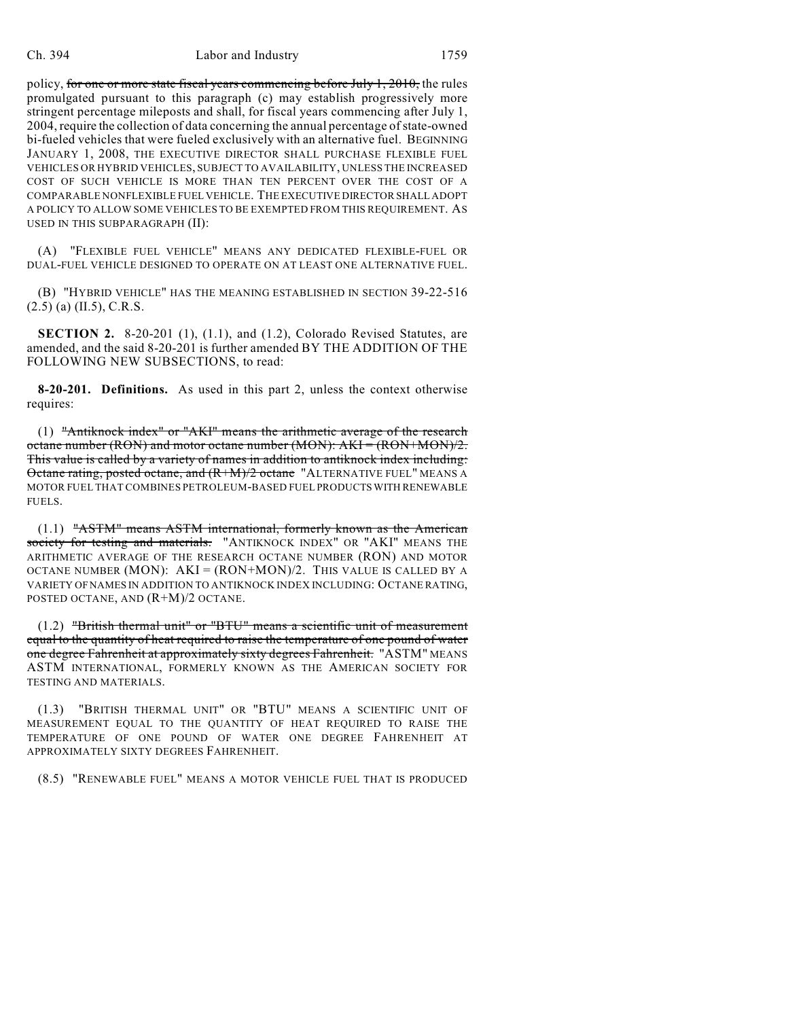policy, for one or more state fiscal years commencing before July 1, 2010, the rules promulgated pursuant to this paragraph (c) may establish progressively more stringent percentage mileposts and shall, for fiscal years commencing after July 1, 2004, require the collection of data concerning the annual percentage of state-owned bi-fueled vehicles that were fueled exclusively with an alternative fuel. BEGINNING JANUARY 1, 2008, THE EXECUTIVE DIRECTOR SHALL PURCHASE FLEXIBLE FUEL VEHICLES OR HYBRID VEHICLES, SUBJECT TO AVAILABILITY, UNLESS THE INCREASED COST OF SUCH VEHICLE IS MORE THAN TEN PERCENT OVER THE COST OF A COMPARABLE NONFLEXIBLE FUEL VEHICLE. THE EXECUTIVE DIRECTOR SHALL ADOPT A POLICY TO ALLOW SOME VEHICLES TO BE EXEMPTED FROM THIS REQUIREMENT. AS USED IN THIS SUBPARAGRAPH (II):

(A) "FLEXIBLE FUEL VEHICLE" MEANS ANY DEDICATED FLEXIBLE-FUEL OR DUAL-FUEL VEHICLE DESIGNED TO OPERATE ON AT LEAST ONE ALTERNATIVE FUEL.

(B) "HYBRID VEHICLE" HAS THE MEANING ESTABLISHED IN SECTION 39-22-516  $(2.5)$  (a) (II.5), C.R.S.

**SECTION 2.** 8-20-201 (1), (1.1), and (1.2), Colorado Revised Statutes, are amended, and the said 8-20-201 is further amended BY THE ADDITION OF THE FOLLOWING NEW SUBSECTIONS, to read:

**8-20-201. Definitions.** As used in this part 2, unless the context otherwise requires:

(1) "Antiknock index" or "AKI" means the arithmetic average of the research octane number (RON) and motor octane number (MON): AKI = (RON+MON)/2. This value is called by a variety of names in addition to antiknock index including: Octane rating, posted octane, and  $(R+M)/2$  octane "ALTERNATIVE FUEL" MEANS A MOTOR FUEL THAT COMBINES PETROLEUM-BASED FUEL PRODUCTS WITH RENEWABLE FUELS.

(1.1) "ASTM" means ASTM international, formerly known as the American society for testing and materials. "ANTIKNOCK INDEX" OR "AKI" MEANS THE ARITHMETIC AVERAGE OF THE RESEARCH OCTANE NUMBER (RON) AND MOTOR OCTANE NUMBER (MON):  $AKI = (RON+MON)/2$ . This value is called by a VARIETY OF NAMES IN ADDITION TO ANTIKNOCK INDEX INCLUDING: OCTANE RATING, POSTED OCTANE, AND (R+M)/2 OCTANE.

(1.2) "British thermal unit" or "BTU" means a scientific unit of measurement equal to the quantity of heat required to raise the temperature of one pound of water one degree Fahrenheit at approximately sixty degrees Fahrenheit. "ASTM" MEANS ASTM INTERNATIONAL, FORMERLY KNOWN AS THE AMERICAN SOCIETY FOR TESTING AND MATERIALS.

(1.3) "BRITISH THERMAL UNIT" OR "BTU" MEANS A SCIENTIFIC UNIT OF MEASUREMENT EQUAL TO THE QUANTITY OF HEAT REQUIRED TO RAISE THE TEMPERATURE OF ONE POUND OF WATER ONE DEGREE FAHRENHEIT AT APPROXIMATELY SIXTY DEGREES FAHRENHEIT.

(8.5) "RENEWABLE FUEL" MEANS A MOTOR VEHICLE FUEL THAT IS PRODUCED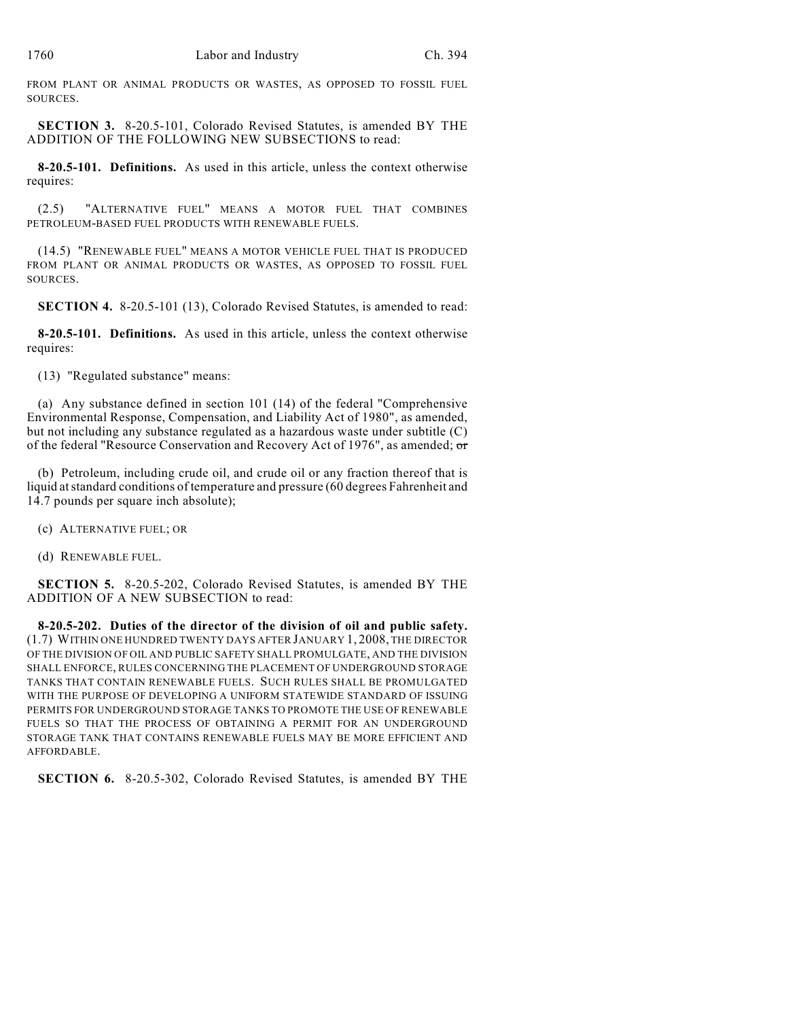FROM PLANT OR ANIMAL PRODUCTS OR WASTES, AS OPPOSED TO FOSSIL FUEL SOURCES.

**SECTION 3.** 8-20.5-101, Colorado Revised Statutes, is amended BY THE ADDITION OF THE FOLLOWING NEW SUBSECTIONS to read:

**8-20.5-101. Definitions.** As used in this article, unless the context otherwise requires:

(2.5) "ALTERNATIVE FUEL" MEANS A MOTOR FUEL THAT COMBINES PETROLEUM-BASED FUEL PRODUCTS WITH RENEWABLE FUELS.

(14.5) "RENEWABLE FUEL" MEANS A MOTOR VEHICLE FUEL THAT IS PRODUCED FROM PLANT OR ANIMAL PRODUCTS OR WASTES, AS OPPOSED TO FOSSIL FUEL SOURCES.

**SECTION 4.** 8-20.5-101 (13), Colorado Revised Statutes, is amended to read:

**8-20.5-101. Definitions.** As used in this article, unless the context otherwise requires:

(13) "Regulated substance" means:

(a) Any substance defined in section 101 (14) of the federal "Comprehensive Environmental Response, Compensation, and Liability Act of 1980", as amended, but not including any substance regulated as a hazardous waste under subtitle (C) of the federal "Resource Conservation and Recovery Act of 1976", as amended; or

(b) Petroleum, including crude oil, and crude oil or any fraction thereof that is liquid at standard conditions of temperature and pressure (60 degrees Fahrenheit and 14.7 pounds per square inch absolute);

(c) ALTERNATIVE FUEL; OR

(d) RENEWABLE FUEL.

**SECTION 5.** 8-20.5-202, Colorado Revised Statutes, is amended BY THE ADDITION OF A NEW SUBSECTION to read:

**8-20.5-202. Duties of the director of the division of oil and public safety.** (1.7) WITHIN ONE HUNDRED TWENTY DAYS AFTER JANUARY 1, 2008, THE DIRECTOR OF THE DIVISION OF OIL AND PUBLIC SAFETY SHALL PROMULGATE, AND THE DIVISION SHALL ENFORCE, RULES CONCERNING THE PLACEMENT OF UNDERGROUND STORAGE TANKS THAT CONTAIN RENEWABLE FUELS. SUCH RULES SHALL BE PROMULGATED WITH THE PURPOSE OF DEVELOPING A UNIFORM STATEWIDE STANDARD OF ISSUING PERMITS FOR UNDERGROUND STORAGE TANKS TO PROMOTE THE USE OF RENEWABLE FUELS SO THAT THE PROCESS OF OBTAINING A PERMIT FOR AN UNDERGROUND STORAGE TANK THAT CONTAINS RENEWABLE FUELS MAY BE MORE EFFICIENT AND AFFORDABLE.

**SECTION 6.** 8-20.5-302, Colorado Revised Statutes, is amended BY THE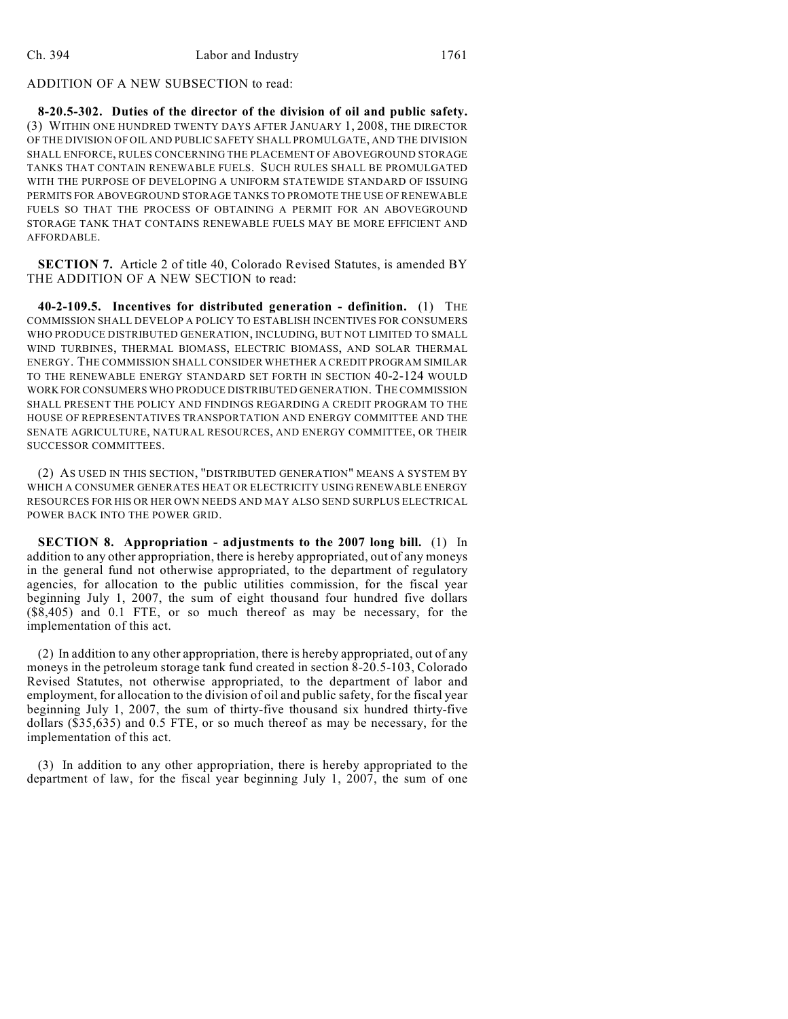## ADDITION OF A NEW SUBSECTION to read:

**8-20.5-302. Duties of the director of the division of oil and public safety.** (3) WITHIN ONE HUNDRED TWENTY DAYS AFTER JANUARY 1, 2008, THE DIRECTOR OF THE DIVISION OF OIL AND PUBLIC SAFETY SHALL PROMULGATE, AND THE DIVISION SHALL ENFORCE, RULES CONCERNING THE PLACEMENT OF ABOVEGROUND STORAGE TANKS THAT CONTAIN RENEWABLE FUELS. SUCH RULES SHALL BE PROMULGATED WITH THE PURPOSE OF DEVELOPING A UNIFORM STATEWIDE STANDARD OF ISSUING PERMITS FOR ABOVEGROUND STORAGE TANKS TO PROMOTE THE USE OF RENEWABLE FUELS SO THAT THE PROCESS OF OBTAINING A PERMIT FOR AN ABOVEGROUND STORAGE TANK THAT CONTAINS RENEWABLE FUELS MAY BE MORE EFFICIENT AND AFFORDABLE.

**SECTION 7.** Article 2 of title 40, Colorado Revised Statutes, is amended BY THE ADDITION OF A NEW SECTION to read:

**40-2-109.5. Incentives for distributed generation - definition.** (1) THE COMMISSION SHALL DEVELOP A POLICY TO ESTABLISH INCENTIVES FOR CONSUMERS WHO PRODUCE DISTRIBUTED GENERATION, INCLUDING, BUT NOT LIMITED TO SMALL WIND TURBINES, THERMAL BIOMASS, ELECTRIC BIOMASS, AND SOLAR THERMAL ENERGY. THE COMMISSION SHALL CONSIDER WHETHER A CREDIT PROGRAM SIMILAR TO THE RENEWABLE ENERGY STANDARD SET FORTH IN SECTION 40-2-124 WOULD WORK FOR CONSUMERS WHO PRODUCE DISTRIBUTED GENERATION. THE COMMISSION SHALL PRESENT THE POLICY AND FINDINGS REGARDING A CREDIT PROGRAM TO THE HOUSE OF REPRESENTATIVES TRANSPORTATION AND ENERGY COMMITTEE AND THE SENATE AGRICULTURE, NATURAL RESOURCES, AND ENERGY COMMITTEE, OR THEIR SUCCESSOR COMMITTEES.

(2) AS USED IN THIS SECTION, "DISTRIBUTED GENERATION" MEANS A SYSTEM BY WHICH A CONSUMER GENERATES HEAT OR ELECTRICITY USING RENEWABLE ENERGY RESOURCES FOR HIS OR HER OWN NEEDS AND MAY ALSO SEND SURPLUS ELECTRICAL POWER BACK INTO THE POWER GRID.

**SECTION 8. Appropriation - adjustments to the 2007 long bill.** (1) In addition to any other appropriation, there is hereby appropriated, out of any moneys in the general fund not otherwise appropriated, to the department of regulatory agencies, for allocation to the public utilities commission, for the fiscal year beginning July 1, 2007, the sum of eight thousand four hundred five dollars (\$8,405) and 0.1 FTE, or so much thereof as may be necessary, for the implementation of this act.

(2) In addition to any other appropriation, there is hereby appropriated, out of any moneys in the petroleum storage tank fund created in section 8-20.5-103, Colorado Revised Statutes, not otherwise appropriated, to the department of labor and employment, for allocation to the division of oil and public safety, for the fiscal year beginning July 1, 2007, the sum of thirty-five thousand six hundred thirty-five dollars (\$35,635) and 0.5 FTE, or so much thereof as may be necessary, for the implementation of this act.

(3) In addition to any other appropriation, there is hereby appropriated to the department of law, for the fiscal year beginning July 1, 2007, the sum of one